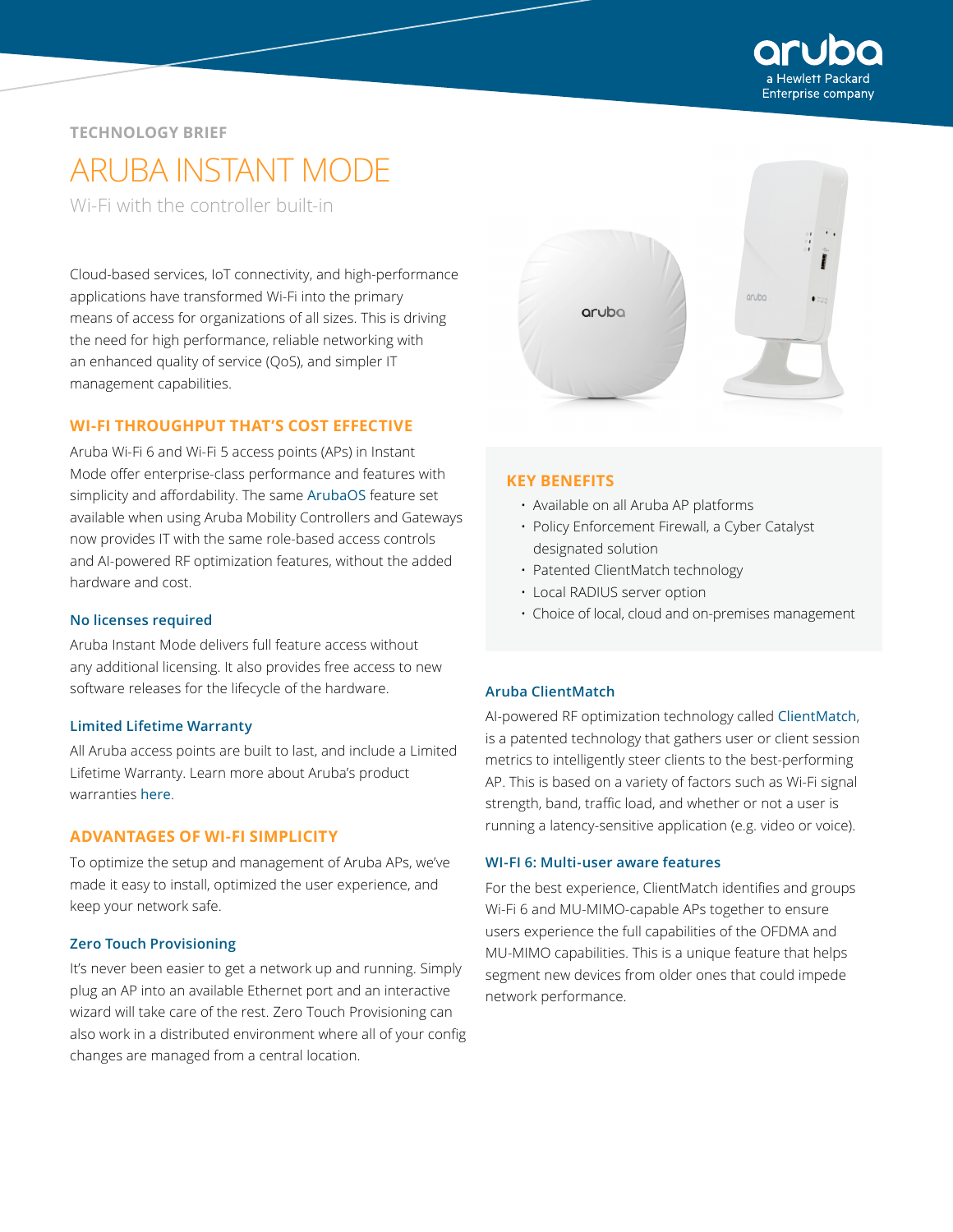

# **TECHNOLOGY BRIEF**

# ARUBA INSTANT MODE

Wi-Fi with the controller built-in

Cloud-based services, IoT connectivity, and high-performance applications have transformed Wi-Fi into the primary means of access for organizations of all sizes. This is driving the need for high performance, reliable networking with an enhanced quality of service (QoS), and simpler IT management capabilities.

# **WI-FI THROUGHPUT THAT'S COST EFFECTIVE**

Aruba Wi-Fi 6 and Wi-Fi 5 access points (APs) in Instant Mode offer enterprise-class performance and features with simplicity and affordability. The same [ArubaOS](https://www.arubanetworks.com/products/networking/arubaos/) feature set available when using Aruba Mobility Controllers and Gateways now provides IT with the same role-based access controls and AI-powered RF optimization features, without the added hardware and cost.

## **No licenses required**

Aruba Instant Mode delivers full feature access without any additional licensing. It also provides free access to new software releases for the lifecycle of the hardware.

## **Limited Lifetime Warranty**

All Aruba access points are built to last, and include a Limited Lifetime Warranty. Learn more about Aruba's product warranties [here](https://www.arubanetworks.com/support-services/product-warranties/).

# **ADVANTAGES OF WI-FI SIMPLICITY**

To optimize the setup and management of Aruba APs, we've made it easy to install, optimized the user experience, and keep your network safe.

#### **Zero Touch Provisioning**

It's never been easier to get a network up and running. Simply plug an AP into an available Ethernet port and an interactive wizard will take care of the rest. Zero Touch Provisioning can also work in a distributed environment where all of your config changes are managed from a central location.



#### **KEY BENEFITS**

- Available on all Aruba AP platforms
- Policy Enforcement Firewall, a Cyber Catalyst designated solution
- Patented ClientMatch technology
- Local RADIUS server option
- Choice of local, cloud and on-premises management

## **Aruba ClientMatch**

AI-powered RF optimization technology called [ClientMatch](https://www.arubanetworks.com/assets/tg/TB_EnhancedClientMatch.pdf), is a patented technology that gathers user or client session metrics to intelligently steer clients to the best-performing AP. This is based on a variety of factors such as Wi-Fi signal strength, band, traffic load, and whether or not a user is running a latency-sensitive application (e.g. video or voice).

## **WI-FI 6: Multi-user aware features**

For the best experience, ClientMatch identifies and groups Wi-Fi 6 and MU-MIMO-capable APs together to ensure users experience the full capabilities of the OFDMA and MU-MIMO capabilities. This is a unique feature that helps segment new devices from older ones that could impede network performance.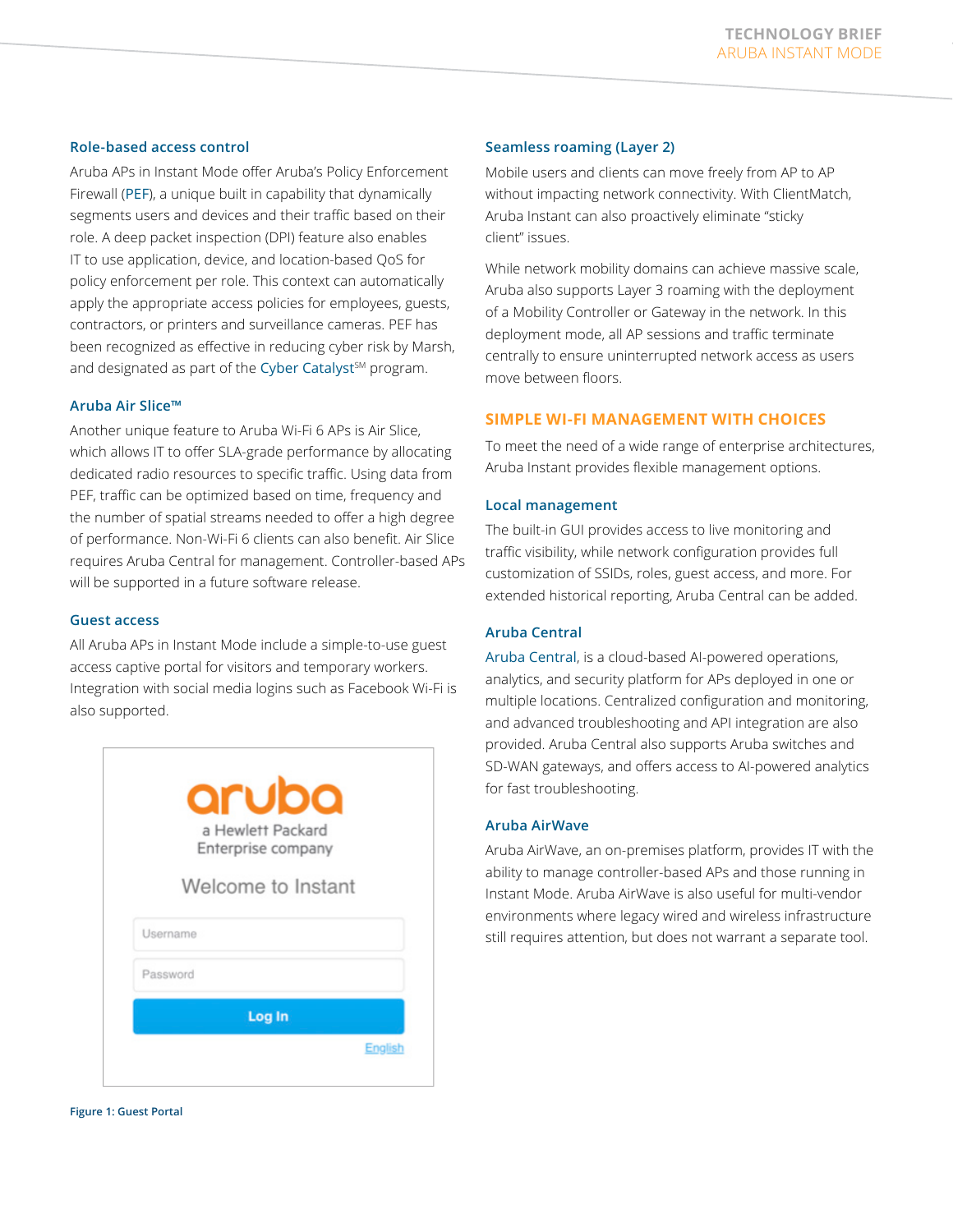#### **Role-based access control**

Aruba APs in Instant Mode offer Aruba's Policy Enforcement Firewall ([PEF](https://www.arubanetworks.com/products/security/policy-enforcement-firewall/)), a unique built in capability that dynamically segments users and devices and their traffic based on their role. A deep packet inspection (DPI) feature also enables IT to use application, device, and location-based QoS for policy enforcement per role. This context can automatically apply the appropriate access policies for employees, guests, contractors, or printers and surveillance cameras. PEF has been recognized as effective in reducing cyber risk by Marsh, and designated as part of the [Cyber Catalyst](https://www.arubanetworks.com/assets/eo/AAG_CyberCatalyst.pdf)<sup>SM</sup> program.

#### **Aruba Air Slice™**

Another unique feature to Aruba Wi-Fi 6 APs is Air Slice, which allows IT to offer SLA-grade performance by allocating dedicated radio resources to specific traffic. Using data from PEF, traffic can be optimized based on time, frequency and the number of spatial streams needed to offer a high degree of performance. Non-Wi-Fi 6 clients can also benefit. Air Slice requires Aruba Central for management. Controller-based APs will be supported in a future software release.

#### **Guest access**

All Aruba APs in Instant Mode include a simple-to-use guest access captive portal for visitors and temporary workers. Integration with social media logins such as Facebook Wi-Fi is also supported.

|          | a Hewlett Packard<br>Enterprise company |
|----------|-----------------------------------------|
|          | Welcome to Instant                      |
| Username |                                         |
| Password |                                         |

#### **Seamless roaming (Layer 2)**

Mobile users and clients can move freely from AP to AP without impacting network connectivity. With ClientMatch, Aruba Instant can also proactively eliminate "sticky client" issues.

While network mobility domains can achieve massive scale, Aruba also supports Layer 3 roaming with the deployment of a Mobility Controller or Gateway in the network. In this deployment mode, all AP sessions and traffic terminate centrally to ensure uninterrupted network access as users move between floors.

# **SIMPLE WI-FI MANAGEMENT WITH CHOICES**

To meet the need of a wide range of enterprise architectures, Aruba Instant provides flexible management options.

#### **Local management**

The built-in GUI provides access to live monitoring and traffic visibility, while network configuration provides full customization of SSIDs, roles, guest access, and more. For extended historical reporting, Aruba Central can be added.

# **Aruba Central**

[Aruba Central](https://www.arubanetworks.com/products/networking/management/central/), is a cloud-based AI-powered operations, analytics, and security platform for APs deployed in one or multiple locations. Centralized configuration and monitoring, and advanced troubleshooting and API integration are also provided. Aruba Central also supports Aruba switches and SD-WAN gateways, and offers access to AI-powered analytics for fast troubleshooting.

#### **Aruba AirWave**

Aruba AirWave, an on-premises platform, provides IT with the ability to manage controller-based APs and those running in Instant Mode. Aruba AirWave is also useful for multi-vendor environments where legacy wired and wireless infrastructure still requires attention, but does not warrant a separate tool.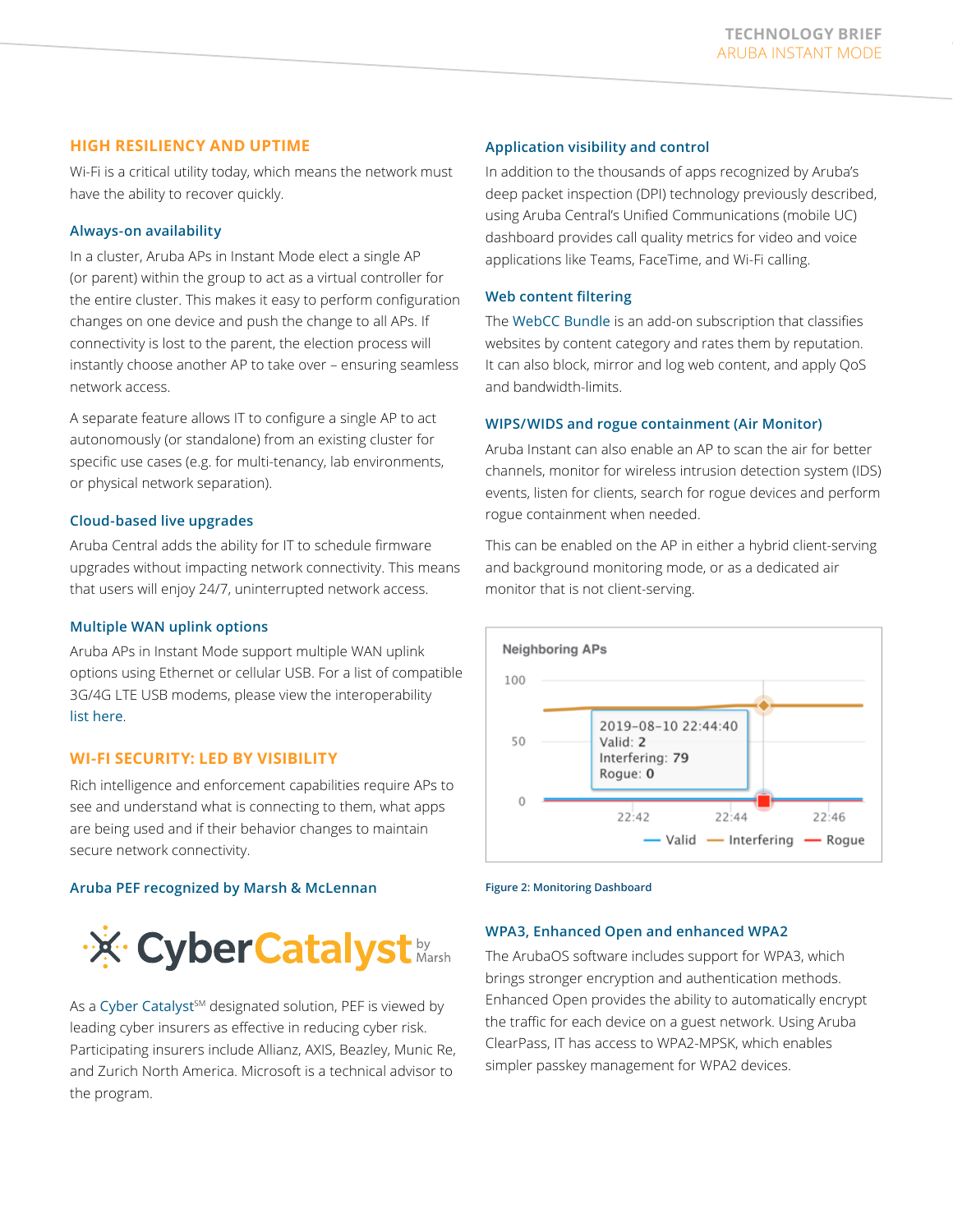# **HIGH RESILIENCY AND UPTIME**

Wi-Fi is a critical utility today, which means the network must have the ability to recover quickly.

# **Always-on availability**

In a cluster, Aruba APs in Instant Mode elect a single AP (or parent) within the group to act as a virtual controller for the entire cluster. This makes it easy to perform configuration changes on one device and push the change to all APs. If connectivity is lost to the parent, the election process will instantly choose another AP to take over – ensuring seamless network access.

A separate feature allows IT to configure a single AP to act autonomously (or standalone) from an existing cluster for specific use cases (e.g. for multi-tenancy, lab environments, or physical network separation).

# **Cloud-based live upgrades**

Aruba Central adds the ability for IT to schedule firmware upgrades without impacting network connectivity. This means that users will enjoy 24/7, uninterrupted network access.

## **Multiple WAN uplink options**

Aruba APs in Instant Mode support multiple WAN uplink options using Ethernet or cellular USB. For a list of compatible 3G/4G LTE USB modems, please view the interoperability [list here](https://www.arubanetworks.com/support-services/interoperability/#4g-modem).

# **WI-FI SECURITY: LED BY VISIBILITY**

Rich intelligence and enforcement capabilities require APs to see and understand what is connecting to them, what apps are being used and if their behavior changes to maintain secure network connectivity.

## **Aruba PEF recognized by Marsh & McLennan**



As a [Cyber Catalyst](https://www.marsh.com/us/campaigns/cyber-catalyst-by-marsh.html)<sup>sM</sup> designated solution, PEF is viewed by leading cyber insurers as effective in reducing cyber risk. Participating insurers include Allianz, AXIS, Beazley, Munic Re, and Zurich North America. Microsoft is a technical advisor to the program.

# **Application visibility and control**

In addition to the thousands of apps recognized by Aruba's deep packet inspection (DPI) technology previously described, using Aruba Central's Unified Communications (mobile UC) dashboard provides call quality metrics for video and voice applications like Teams, FaceTime, and Wi-Fi calling.

# **Web content filtering**

The [WebCC Bundle](https://www.arubanetworks.com/assets/ds/DS_WebCC.pdf) is an add-on subscription that classifies websites by content category and rates them by reputation. It can also block, mirror and log web content, and apply QoS and bandwidth-limits.

# **WIPS/WIDS and rogue containment (Air Monitor)**

Aruba Instant can also enable an AP to scan the air for better channels, monitor for wireless intrusion detection system (IDS) events, listen for clients, search for rogue devices and perform rogue containment when needed.

This can be enabled on the AP in either a hybrid client-serving and background monitoring mode, or as a dedicated air monitor that is not client-serving.





## **WPA3, Enhanced Open and enhanced WPA2**

The ArubaOS software includes support for WPA3, which brings stronger encryption and authentication methods. Enhanced Open provides the ability to automatically encrypt the traffic for each device on a guest network. Using Aruba ClearPass, IT has access to WPA2-MPSK, which enables simpler passkey management for WPA2 devices.